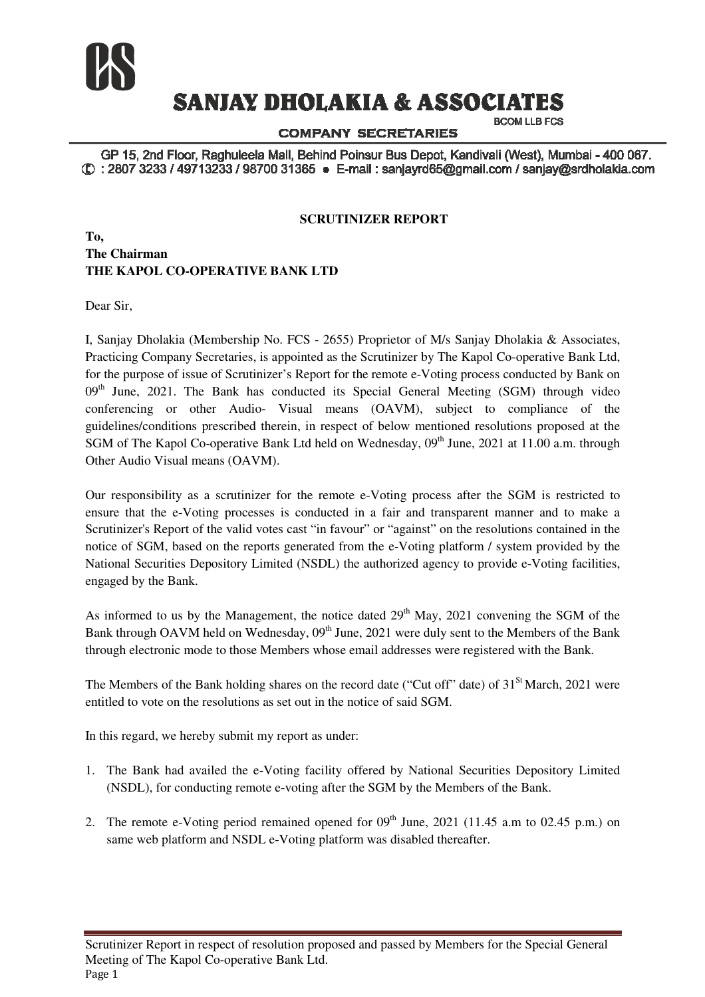

# **SANJAY DHOLAKIA & ASSOCIATES**

**COMPANY SECRETARIES** 

**BCOM LLB FCS** 

GP 15, 2nd Floor, Raghuleela Mall, Behind Poinsur Bus Depot, Kandivali (West), Mumbai - 400 067. ① : 2807 3233 / 49713233 / 98700 31365 · E-mail : sanjayrd65@gmail.com / sanjay@srdholakia.com

#### **SCRUTINIZER REPORT**

### **To, The Chairman THE KAPOL CO-OPERATIVE BANK LTD OPERATIVE**

Dear Sir,

I, Sanjay Dholakia (Membership No. FCS - 2655) Proprietor of M/s Sanjay Dholakia & & Associates, Practicing Company Secretaries, is appointed as the Scrutinizer by The Kapol Co Co-operative Bank Ltd, for the purpose of issue of Scrutinizer's Report for the remote e-Voting process conducted by Bank on  $09<sup>th</sup>$  June, 2021. The Bank has conducted its Special General Meeting (SGM) through video conferencing or other Audio- Visual means (OAVM), subject to compliance of the guidelines/conditions prescribed therein, in respect of below mentioned resolutions proposed at the SGM of The Kapol Co-operative Bank Ltd held on Wednesday, 09<sup>th</sup> June, 2021 at 11.00 a.m. through Other Audio Visual means (OAVM). for the remote e-Voting process conducted by Bank on<br>ts Special General Meeting (SGM) through video<br>eans (OAVM), subject to compliance of the<br>pect of below mentioned resolutions proposed at the<br>on Wednesday,  $09<sup>th</sup>$  J

Our responsibility as a scrutinizer for the remote e e-Voting process after the SGM is restricted to ensure that the e-Voting processes is conducted in a fair and transparent manner and to make a Scrutinizer's Report of the valid votes cast "in favour" or "against" on the resolutions contained in the notice of SGM, based on the reports generated from the e e-Voting platform / system provided by the National Securities Depository Limited (NSDL) the authorized agency to provide e engaged by the Bank.

As informed to us by the Management, the notice dated 29<sup>th</sup> May, 2021 convening the SGM of the Bank through OAVM held on Wednesday, 09<sup>th</sup> June, 2021 were duly sent to the Members of the Bank through electronic mode to those Members whose email addresses were registered with the Bank.

The Members of the Bank holding shares on the record date ("Cut off" date) of 31<sup>St</sup> March, 2021 were entitled to vote on the resolutions as set out in the notice of said SGM.

In this regard, we hereby submit my report as under:

- 1. The Bank had availed the e-Voting facility offered by National Securities Depository Limited (NSDL), for conducting remote e e-voting after the SGM by the Members of the Bank.
- 2. The remote e-Voting period remained opened for 09<sup>th</sup> June, 2021 (11.45 a.m to 02.45 p.m.) on same web platform and NSDL e-Voting platform was disabled thereafter.

Scrutinizer Report in respect of resolution proposed and passed by Members for the Special General Meeting of The Kapol Co-operative Bank Ltd. Page 1